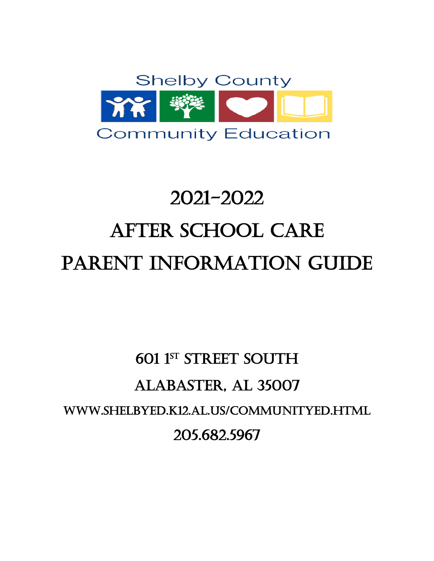

# 2021-2022 After School Care PARENT INFORMATION GUIDE

# 601 1st Street South Alabaster, AL 35007 www.shelbyed.k12.al.us/communityed.html 205.682.5967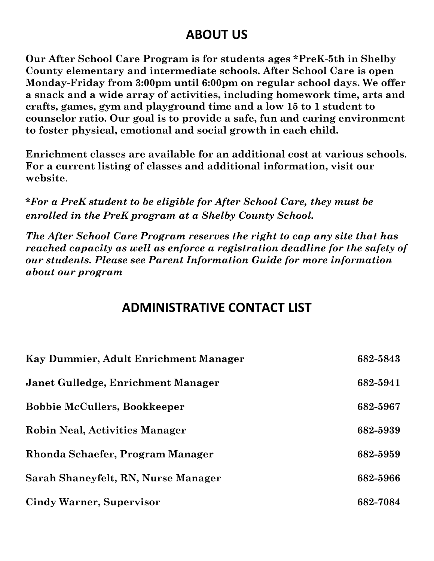#### **ABOUT US**

**Our After School Care Program is for students ages \*PreK-5th in Shelby County elementary and intermediate schools. After School Care is open Monday-Friday from 3:00pm until 6:00pm on regular school days. We offer a snack and a wide array of activities, including homework time, arts and crafts, games, gym and playground time and a low 15 to 1 student to counselor ratio. Our goal is to provide a safe, fun and caring environment to foster physical, emotional and social growth in each child.** 

**Enrichment classes are available for an additional cost at various schools. For a current listing of classes and additional information, visit our website**.

**\****For a PreK student to be eligible for After School Care, they must be enrolled in the PreK program at a Shelby County School.*

*The After School Care Program reserves the right to cap any site that has reached capacity as well as enforce a registration deadline for the safety of our students. Please see Parent Information Guide for more information about our program*

#### **ADMINISTRATIVE CONTACT LIST**

| Kay Dummier, Adult Enrichment Manager | 682-5843 |
|---------------------------------------|----------|
| Janet Gulledge, Enrichment Manager    | 682-5941 |
| <b>Bobbie McCullers, Bookkeeper</b>   | 682-5967 |
| <b>Robin Neal, Activities Manager</b> | 682-5939 |
| Rhonda Schaefer, Program Manager      | 682-5959 |
| Sarah Shaneyfelt, RN, Nurse Manager   | 682-5966 |
| <b>Cindy Warner, Supervisor</b>       | 682-7084 |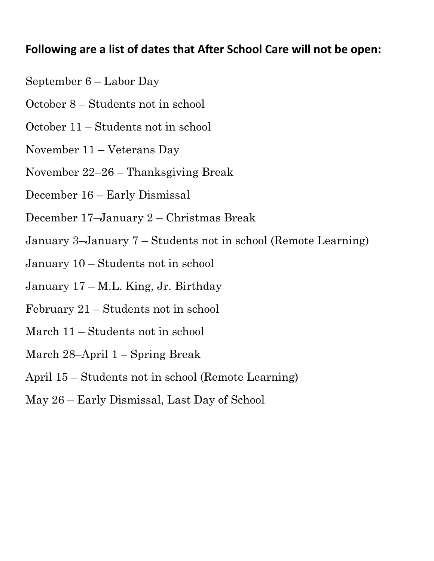#### **Following are a list of dates that After School Care will not be open:**

- September 6 Labor Day
- October 8 Students not in school
- October 11 Students not in school
- November 11 Veterans Day
- November 22–26 Thanksgiving Break
- December 16 Early Dismissal
- December 17–January 2 Christmas Break
- January 3–January 7 Students not in school (Remote Learning)
- January 10 Students not in school
- January 17 M.L. King, Jr. Birthday
- February 21 Students not in school
- March 11 Students not in school
- March 28–April 1 Spring Break
- April 15 Students not in school (Remote Learning)
- May 26 Early Dismissal, Last Day of School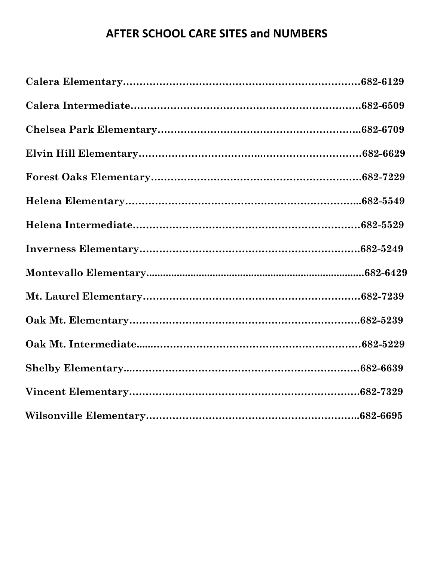#### **AFTER SCHOOL CARE SITES and NUMBERS**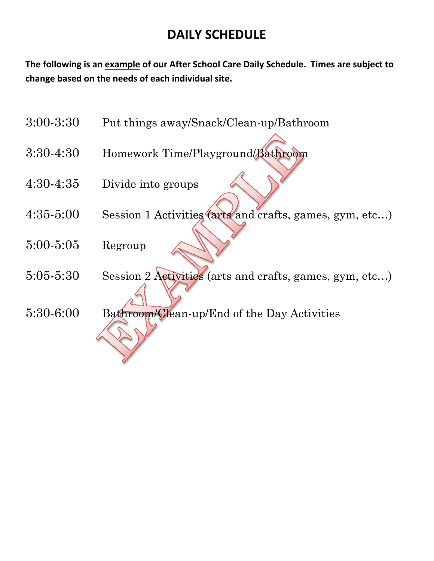#### **DAILY SCHEDULE**

**The following is an example of our After School Care Daily Schedule. Times are subject to change based on the needs of each individual site.**

- 3:00-3:30 Put things away/Snack/Clean-up/Bathroom
- 3:30-4:30 Homework Time/Playground/Bathroom
- 4:30-4:35 Divide into groups
- 4:35-5:00 Session 1 Activities (arts and crafts, games, gym, etc…)
- 5:00-5:05 Regroup
- 5:05-5:30 Session 2 Activities (arts and crafts, games, gym, etc…)
- 5:30-6:00 Bathroom/Clean-up/End of the Day Activities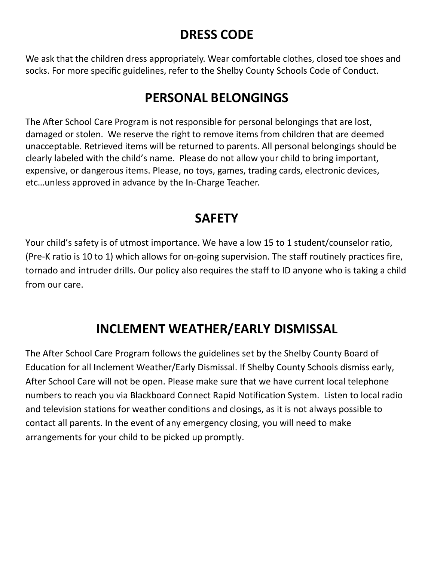## **DRESS CODE**

We ask that the children dress appropriately. Wear comfortable clothes, closed toe shoes and socks. For more specific guidelines, refer to the Shelby County Schools Code of Conduct.

## **PERSONAL BELONGINGS**

The After School Care Program is not responsible for personal belongings that are lost, damaged or stolen. We reserve the right to remove items from children that are deemed unacceptable. Retrieved items will be returned to parents. All personal belongings should be clearly labeled with the child's name. Please do not allow your child to bring important, expensive, or dangerous items. Please, no toys, games, trading cards, electronic devices, etc…unless approved in advance by the In-Charge Teacher.

## **SAFETY**

Your child's safety is of utmost importance. We have a low 15 to 1 student/counselor ratio, (Pre-K ratio is 10 to 1) which allows for on-going supervision. The staff routinely practices fire, tornado and intruder drills. Our policy also requires the staff to ID anyone who is taking a child from our care.

# **INCLEMENT WEATHER/EARLY DISMISSAL**

The After School Care Program follows the guidelines set by the Shelby County Board of Education for all Inclement Weather/Early Dismissal. If Shelby County Schools dismiss early, After School Care will not be open. Please make sure that we have current local telephone numbers to reach you via Blackboard Connect Rapid Notification System. Listen to local radio and television stations for weather conditions and closings, as it is not always possible to contact all parents. In the event of any emergency closing, you will need to make arrangements for your child to be picked up promptly.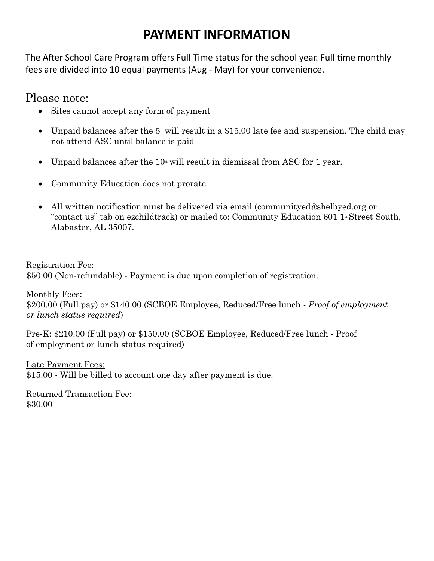#### **PAYMENT INFORMATION**

The After School Care Program offers Full Time status for the school year. Full time monthly fees are divided into 10 equal payments (Aug - May) for your convenience.

Please note:

- Sites cannot accept any form of payment
- Unpaid balances after the  $5\textdegree$  will result in a \$15.00 late fee and suspension. The child may not attend ASC until balance is paid
- Unpaid balances after the  $10<sub>th</sub>$  will result in dismissal from ASC for 1 year.
- Community Education does not prorate
- All written notification must be delivered via email (communityed@shelbyed.org or "contact us" tab on ezchildtrack) or mailed to: Community Education 601 1<sup>\*</sup> Street South, Alabaster, AL 35007.

Registration Fee: \$50.00 (Non-refundable) - Payment is due upon completion of registration.

Monthly Fees: \$200.00 (Full pay) or \$140.00 (SCBOE Employee, Reduced/Free lunch - *Proof of employment or lunch status required*)

Pre-K: \$210.00 (Full pay) or \$150.00 (SCBOE Employee, Reduced/Free lunch - Proof of employment or lunch status required)

Late Payment Fees: \$15.00 - Will be billed to account one day after payment is due.

Returned Transaction Fee: \$30.00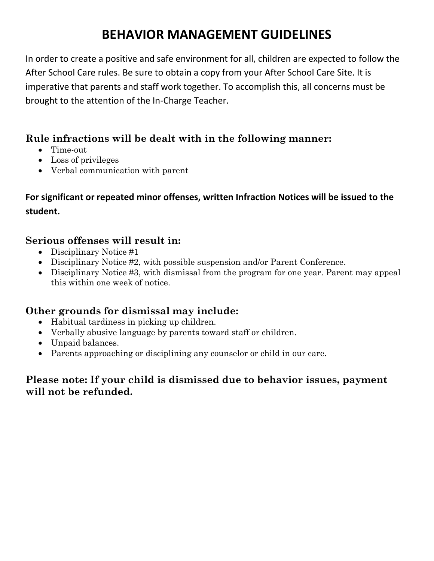## **BEHAVIOR MANAGEMENT GUIDELINES**

In order to create a positive and safe environment for all, children are expected to follow the After School Care rules. Be sure to obtain a copy from your After School Care Site. It is imperative that parents and staff work together. To accomplish this, all concerns must be brought to the attention of the In-Charge Teacher.

#### **Rule infractions will be dealt with in the following manner:**

- Time-out
- Loss of privileges
- Verbal communication with parent

#### **For significant or repeated minor offenses, written Infraction Notices will be issued to the student.**

#### **Serious offenses will result in:**

- Disciplinary Notice #1
- Disciplinary Notice #2, with possible suspension and/or Parent Conference.
- Disciplinary Notice #3, with dismissal from the program for one year. Parent may appeal this within one week of notice.

#### **Other grounds for dismissal may include:**

- Habitual tardiness in picking up children.
- Verbally abusive language by parents toward staff or children.
- Unpaid balances.
- Parents approaching or disciplining any counselor or child in our care.

#### **Please note: If your child is dismissed due to behavior issues, payment will not be refunded.**